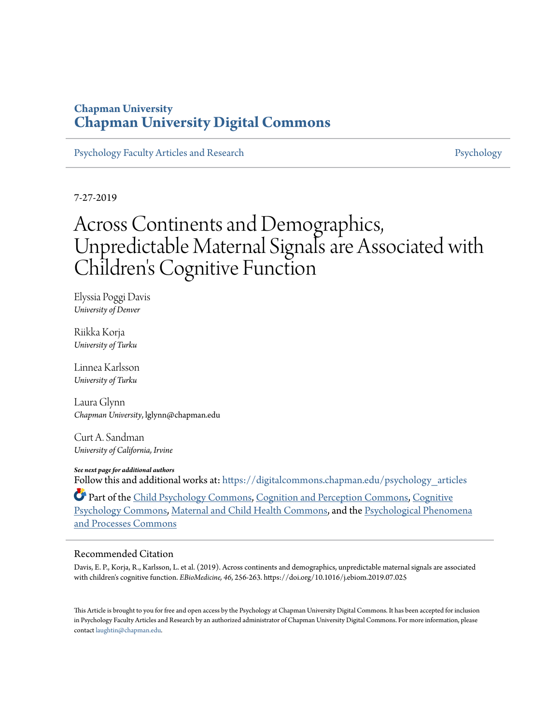### **Chapman University [Chapman University Digital Commons](https://digitalcommons.chapman.edu/?utm_source=digitalcommons.chapman.edu%2Fpsychology_articles%2F184&utm_medium=PDF&utm_campaign=PDFCoverPages)**

[Psychology Faculty Articles and Research](https://digitalcommons.chapman.edu/psychology_articles?utm_source=digitalcommons.chapman.edu%2Fpsychology_articles%2F184&utm_medium=PDF&utm_campaign=PDFCoverPages) **[Psychology](https://digitalcommons.chapman.edu/psychology?utm_source=digitalcommons.chapman.edu%2Fpsychology_articles%2F184&utm_medium=PDF&utm_campaign=PDFCoverPages)** Psychology

7-27-2019

# Across Continents and Demographics, Unpredictable Maternal Signals are Associated with Children 's Cognitive Function

Elyssia Poggi Davis *University of Denver*

Riikka Korja *University of Turku*

Linnea Karlsson *University of Turku*

Laura Glynn *Chapman University*, lglynn@chapman.edu

Curt A. Sandman *University of California, Irvine*

*See next page for additional authors* Follow this and additional works at: [https://digitalcommons.chapman.edu/psychology\\_articles](https://digitalcommons.chapman.edu/psychology_articles?utm_source=digitalcommons.chapman.edu%2Fpsychology_articles%2F184&utm_medium=PDF&utm_campaign=PDFCoverPages)

Part of the [Child Psychology Commons](http://network.bepress.com/hgg/discipline/1023?utm_source=digitalcommons.chapman.edu%2Fpsychology_articles%2F184&utm_medium=PDF&utm_campaign=PDFCoverPages), [Cognition and Perception Commons](http://network.bepress.com/hgg/discipline/407?utm_source=digitalcommons.chapman.edu%2Fpsychology_articles%2F184&utm_medium=PDF&utm_campaign=PDFCoverPages), [Cognitive](http://network.bepress.com/hgg/discipline/408?utm_source=digitalcommons.chapman.edu%2Fpsychology_articles%2F184&utm_medium=PDF&utm_campaign=PDFCoverPages) [Psychology Commons,](http://network.bepress.com/hgg/discipline/408?utm_source=digitalcommons.chapman.edu%2Fpsychology_articles%2F184&utm_medium=PDF&utm_campaign=PDFCoverPages) [Maternal and Child Health Commons](http://network.bepress.com/hgg/discipline/745?utm_source=digitalcommons.chapman.edu%2Fpsychology_articles%2F184&utm_medium=PDF&utm_campaign=PDFCoverPages), and the [Psychological Phenomena](http://network.bepress.com/hgg/discipline/914?utm_source=digitalcommons.chapman.edu%2Fpsychology_articles%2F184&utm_medium=PDF&utm_campaign=PDFCoverPages) [and Processes Commons](http://network.bepress.com/hgg/discipline/914?utm_source=digitalcommons.chapman.edu%2Fpsychology_articles%2F184&utm_medium=PDF&utm_campaign=PDFCoverPages)

#### Recommended Citation

Davis, E. P., Korja, R., Karlsson, L. et al. (2019). Across continents and demographics, unpredictable maternal signals are associated with children's cognitive function. *EBioMedicine, 46*, 256-263. https://doi.org/10.1016/j.ebiom.2019.07.025

This Article is brought to you for free and open access by the Psychology at Chapman University Digital Commons. It has been accepted for inclusion in Psychology Faculty Articles and Research by an authorized administrator of Chapman University Digital Commons. For more information, please contact [laughtin@chapman.edu](mailto:laughtin@chapman.edu).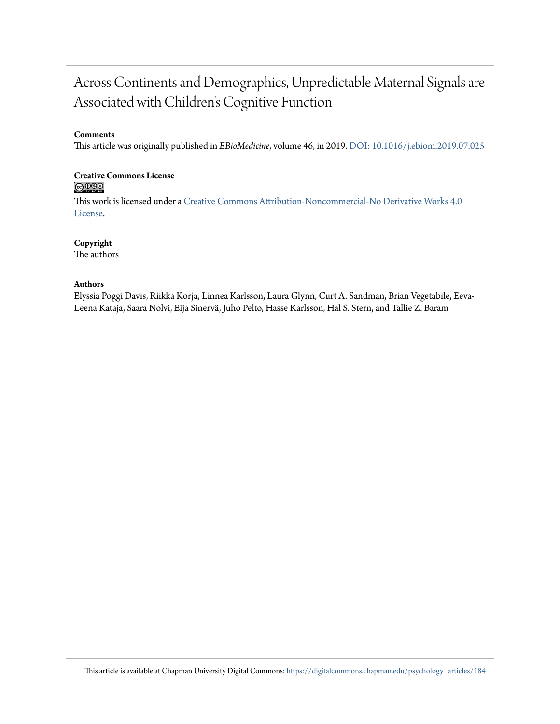## Across Continents and Demographics, Unpredictable Maternal Signals are Associated with Children's Cognitive Function

### **Comments**

This article was originally published in *EBioMedicine*, volume 46, in 2019. [DOI: 10.1016/j.ebiom.2019.07.025](https://doi.org/10.1016/j.ebiom.2019.07.025)

# Creative Commons License<br> **@ 089**

This work is licensed under a [Creative Commons Attribution-Noncommercial-No Derivative Works 4.0](https://creativecommons.org/licenses/by-nc-nd/4.0/) [License.](https://creativecommons.org/licenses/by-nc-nd/4.0/)

### **Copyright**

The authors

#### **Authors**

Elyssia Poggi Davis, Riikka Korja, Linnea Karlsson, Laura Glynn, Curt A. Sandman, Brian Vegetabile, Eeva-Leena Kataja, Saara Nolvi, Eija Sinervä, Juho Pelto, Hasse Karlsson, Hal S. Stern, and Tallie Z. Baram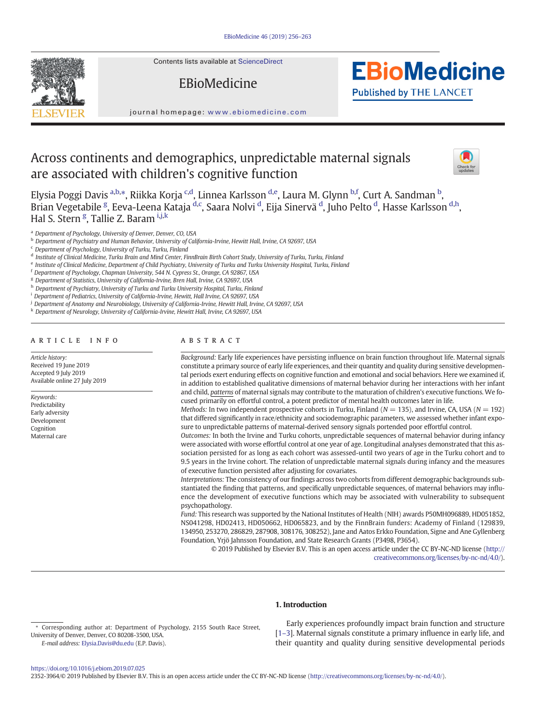Contents lists available at [ScienceDirect](http://www.sciencedirect.com/science/journal/)

EBioMedicine

**EBioMedicine Published by THE LANCET** 

journal homepage: <www.ebiomedicine.com>

## Across continents and demographics, unpredictable maternal signals are associated with children's cognitive function



Elysia Poggi Davis <sup>a,b,</sup>\*, Riikka Korja <sup>c,d</sup>, Linnea Karlsson <sup>d,e</sup>, Laura M. Glynn <sup>b,f</sup>, Curt A. Sandman <sup>b</sup>, Brian Vegetabile <sup>g</sup>, Eeva-Leena Kataja <sup>d,c</sup>, Saara Nolvi <sup>d</sup>, Eija Sinervä <sup>d</sup>, Juho Pelto <sup>d</sup>, Hasse Karlsson <sup>d,h</sup>, Hal S. Stern<sup>g</sup>, Tallie Z. Baram i,j,k

<sup>a</sup> Department of Psychology, University of Denver, Denver, CO, USA

<sup>c</sup> Department of Psychology, University of Turku, Turku, Finland

<sup>d</sup> Institute of Clinical Medicine, Turku Brain and Mind Center, FinnBrain Birth Cohort Study, University of Turku, Turku, Finland

<sup>e</sup> Institute of Clinical Medicine, Department of Child Psychiatry, University of Turku and Turku University Hospital, Turku, Finland

<sup>f</sup> Department of Psychology, Chapman University, 544 N. Cypress St., Orange, CA 92867, USA

<sup>g</sup> Department of Statistics, University of California-Irvine, Bren Hall, Irvine, CA 92697, USA

h Department of Psychiatry, University of Turku and Turku University Hospital, Turku, Finland

<sup>i</sup> Department of Pediatrics, University of California-Irvine, Hewitt, Hall Irvine, CA 92697, USA

<sup>j</sup> Department of Anatomy and Neurobiology, University of California-Irvine, Hewitt Hall, Irvine, CA 92697, USA

k Department of Neurology, University of California-Irvine, Hewitt Hall, Irvine, CA 92697, USA

#### article info abstract

Article history: Received 19 June 2019 Accepted 9 July 2019 Available online 27 July 2019

Keywords: Predictability Early adversity Development Cognition Maternal care

Background: Early life experiences have persisting influence on brain function throughout life. Maternal signals constitute a primary source of early life experiences, and their quantity and quality during sensitive developmental periods exert enduring effects on cognitive function and emotional and social behaviors. Here we examined if, in addition to established qualitative dimensions of maternal behavior during her interactions with her infant and child, patterns of maternal signals may contribute to the maturation of children's executive functions. We focused primarily on effortful control, a potent predictor of mental health outcomes later in life.

Methods: In two independent prospective cohorts in Turku, Finland ( $N = 135$ ), and Irvine, CA, USA ( $N = 192$ ) that differed significantly in race/ethnicity and sociodemographic parameters, we assessed whether infant exposure to unpredictable patterns of maternal-derived sensory signals portended poor effortful control.

Outcomes: In both the Irvine and Turku cohorts, unpredictable sequences of maternal behavior during infancy were associated with worse effortful control at one year of age. Longitudinal analyses demonstrated that this association persisted for as long as each cohort was assessed-until two years of age in the Turku cohort and to 9.5 years in the Irvine cohort. The relation of unpredictable maternal signals during infancy and the measures of executive function persisted after adjusting for covariates.

Interpretations: The consistency of our findings across two cohorts from different demographic backgrounds substantiated the finding that patterns, and specifically unpredictable sequences, of maternal behaviors may influence the development of executive functions which may be associated with vulnerability to subsequent psychopathology.

Fund: This research was supported by the National Institutes of Health (NIH) awards P50MH096889, HD051852, NS041298, HD02413, HD050662, HD065823, and by the FinnBrain funders: Academy of Finland (129839, 134950, 253270, 286829, 287908, 308176, 308252), Jane and Aatos Erkko Foundation, Signe and Ane Gyllenberg Foundation, Yrjö Jahnsson Foundation, and State Research Grants (P3498, P3654).

© 2019 Published by Elsevier B.V. This is an open access article under the CC BY-NC-ND license [\(http://](http://creativecommons.org/licenses/by-nc-nd/4.0/) [creativecommons.org/licenses/by-nc-nd/4.0/](http://creativecommons.org/licenses/by-nc-nd/4.0/)).

#### 1. Introduction

⁎ Corresponding author at: Department of Psychology, 2155 South Race Street, University of Denver, Denver, CO 80208-3500, USA.

E-mail address: [Elysia.Davis@du.edu](mailto:Elysia.Davis@du.edu) (E.P. Davis).

Early experiences profoundly impact brain function and structure [\[1](#page-8-0)–3]. Maternal signals constitute a primary influence in early life, and their quantity and quality during sensitive developmental periods

<https://doi.org/10.1016/j.ebiom.2019.07.025>

2352-3964/© 2019 Published by Elsevier B.V. This is an open access article under the CC BY-NC-ND license (<http://creativecommons.org/licenses/by-nc-nd/4.0/>).

b Department of Psychiatry and Human Behavior, University of California-Irvine, Hewitt Hall, Irvine, CA 92697, USA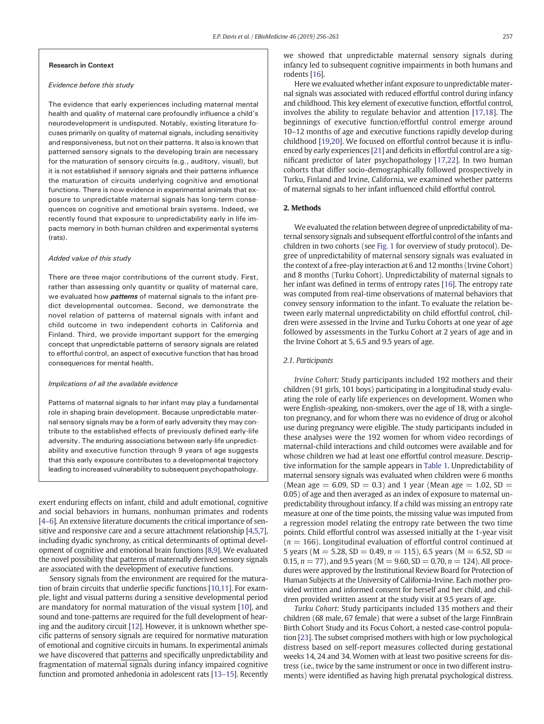#### Research in Context

#### Evidence before this study

The evidence that early experiences including maternal mental health and quality of maternal care profoundly influence a child's neurodevelopment is undisputed. Notably, existing literature focuses primarily on quality of maternal signals, including sensitivity and responsiveness, but not on their patterns. It also is known that patterned sensory signals to the developing brain are necessary for the maturation of sensory circuits (e.g., auditory, visual), but it is not established if sensory signals and their patterns influence the maturation of circuits underlying cognitive and emotional functions. There is now evidence in experimental animals that exposure to unpredictable maternal signals has long-term consequences on cognitive and emotional brain systems. Indeed, we recently found that exposure to unpredictability early in life impacts memory in both human children and experimental systems (rats).

#### Added value of this study

There are three major contributions of the current study. First, rather than assessing only quantity or quality of maternal care, we evaluated how *patterns* of maternal signals to the infant predict developmental outcomes. Second, we demonstrate the novel relation of patterns of maternal signals with infant and child outcome in two independent cohorts in California and Finland. Third, we provide important support for the emerging concept that unpredictable patterns of sensory signals are related to effortful control, an aspect of executive function that has broad consequences for mental health.

#### Implications of all the available evidence

Patterns of maternal signals to her infant may play a fundamental role in shaping brain development. Because unpredictable maternal sensory signals may be a form of early adversity they may contribute to the established effects of previously defined early-life adversity. The enduring associations between early-life unpredictability and executive function through 9 years of age suggests that this early exposure contributes to a developmental trajectory leading to increased vulnerability to subsequent psychopathology.

exert enduring effects on infant, child and adult emotional, cognitive and social behaviors in humans, nonhuman primates and rodents [4–[6\]](#page-8-0). An extensive literature documents the critical importance of sensitive and responsive care and a secure attachment relationship [\[4,5,7](#page-8-0)], including dyadic synchrony, as critical determinants of optimal development of cognitive and emotional brain functions [[8,9](#page-8-0)]. We evaluated the novel possibility that patterns of maternally derived sensory signals are associated with the development of executive functions.

Sensory signals from the environment are required for the maturation of brain circuits that underlie specific functions [\[10,11\]](#page-8-0). For example, light and visual patterns during a sensitive developmental period are mandatory for normal maturation of the visual system [[10\]](#page-8-0), and sound and tone-patterns are required for the full development of hearing and the auditory circuit [[12\]](#page-8-0). However, it is unknown whether specific patterns of sensory signals are required for normative maturation of emotional and cognitive circuits in humans. In experimental animals we have discovered that patterns and specifically unpredictability and fragmentation of maternal signals during infancy impaired cognitive function and promoted anhedonia in adolescent rats [\[13](#page-8-0)–15]. Recently we showed that unpredictable maternal sensory signals during infancy led to subsequent cognitive impairments in both humans and rodents [\[16](#page-9-0)].

Here we evaluated whether infant exposure to unpredictable maternal signals was associated with reduced effortful control during infancy and childhood. This key element of executive function, effortful control, involves the ability to regulate behavior and attention [\[17,18](#page-9-0)]. The beginnings of executive function/effortful control emerge around 10–12 months of age and executive functions rapidly develop during childhood [[19](#page-9-0),[20\]](#page-9-0). We focused on effortful control because it is influenced by early experiences [\[21](#page-9-0)] and deficits in effortful control are a significant predictor of later psychopathology [[17](#page-9-0),[22](#page-9-0)]. In two human cohorts that differ socio-demographically followed prospectively in Turku, Finland and Irvine, California, we examined whether patterns of maternal signals to her infant influenced child effortful control.

#### 2. Methods

We evaluated the relation between degree of unpredictability of maternal sensory signals and subsequent effortful control of the infants and children in two cohorts (see [Fig. 1](#page-4-0) for overview of study protocol). Degree of unpredictability of maternal sensory signals was evaluated in the context of a free-play interaction at 6 and 12 months (Irvine Cohort) and 8 months (Turku Cohort). Unpredictability of maternal signals to her infant was defined in terms of entropy rates [\[16](#page-9-0)]. The entropy rate was computed from real-time observations of maternal behaviors that convey sensory information to the infant. To evaluate the relation between early maternal unpredictability on child effortful control, children were assessed in the Irvine and Turku Cohorts at one year of age followed by assessments in the Turku Cohort at 2 years of age and in the Irvine Cohort at 5, 6.5 and 9.5 years of age.

#### 2.1. Participants

Irvine Cohort: Study participants included 192 mothers and their children (91 girls, 101 boys) participating in a longitudinal study evaluating the role of early life experiences on development. Women who were English-speaking, non-smokers, over the age of 18, with a singleton pregnancy, and for whom there was no evidence of drug or alcohol use during pregnancy were eligible. The study participants included in these analyses were the 192 women for whom video recordings of maternal-child interactions and child outcomes were available and for whose children we had at least one effortful control measure. Descriptive information for the sample appears in [Table 1](#page-4-0). Unpredictability of maternal sensory signals was evaluated when children were 6 months (Mean age  $= 6.09$ , SD  $= 0.3$ ) and 1 year (Mean age  $= 1.02$ , SD  $=$ 0.05) of age and then averaged as an index of exposure to maternal unpredictability throughout infancy. If a child was missing an entropy rate measure at one of the time points, the missing value was imputed from a regression model relating the entropy rate between the two time points. Child effortful control was assessed initially at the 1-year visit  $(n = 166)$ . Longitudinal evaluation of effortful control continued at 5 years (M = 5.28, SD = 0.49, n = 115), 6.5 years (M = 6.52, SD = 0.15,  $n = 77$ ), and 9.5 years (M = 9.60, SD = 0.70,  $n = 124$ ). All procedures were approved by the Institutional Review Board for Protection of Human Subjects at the University of California-Irvine. Each mother provided written and informed consent for herself and her child, and children provided written assent at the study visit at 9.5 years of age.

Turku Cohort: Study participants included 135 mothers and their children (68 male, 67 female) that were a subset of the large FinnBrain Birth Cohort Study and its Focus Cohort, a nested case-control population [\[23\]](#page-9-0). The subset comprised mothers with high or low psychological distress based on self-report measures collected during gestational weeks 14, 24 and 34. Women with at least two positive screens for distress (i.e., twice by the same instrument or once in two different instruments) were identified as having high prenatal psychological distress.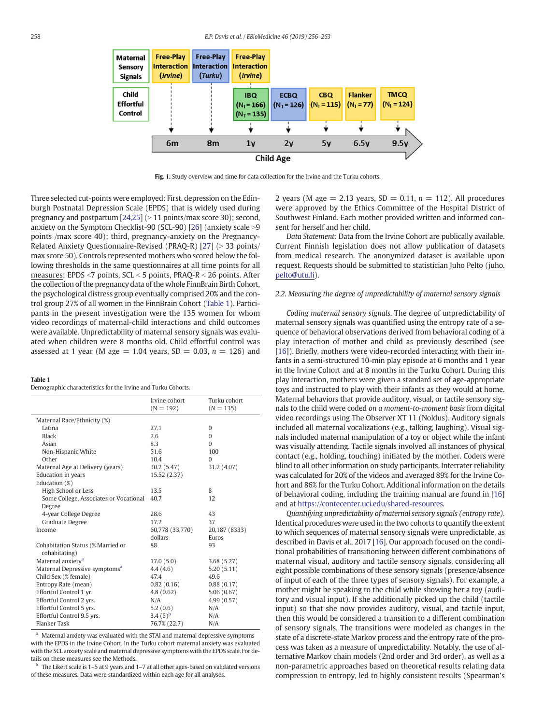<span id="page-4-0"></span>

Fig. 1. Study overview and time for data collection for the Irvine and the Turku cohorts.

Three selected cut-points were employed: First, depression on the Edinburgh Postnatal Depression Scale (EPDS) that is widely used during pregnancy and postpartum  $[24,25]$  ( $> 11$  points/max score 30); second, anxiety on the Symptom Checklist-90 (SCL-90) [\[26](#page-9-0)] (anxiety scale  $>9$ points /max score 40); third, pregnancy-anxiety on the Pregnancy-Related Anxiety Questionnaire-Revised (PRAQ-R) [[27](#page-9-0)] (> 33 points/ max score 50). Controls represented mothers who scored below the following thresholds in the same questionnaires at all time points for all measures: EPDS <7 points,  $SCL < 5$  points, PRAQ- $R < 26$  points. After the collection of the pregnancy data of the whole FinnBrain Birth Cohort, the psychological distress group eventually comprised 20% and the control group 27% of all women in the FinnBrain Cohort (Table 1). Participants in the present investigation were the 135 women for whom video recordings of maternal-child interactions and child outcomes were available. Unpredictability of maternal sensory signals was evaluated when children were 8 months old. Child effortful control was assessed at 1 year (M age  $= 1.04$  years, SD  $= 0.03$ ,  $n = 126$ ) and

#### Table 1

| . |                                                               |  |  |  |
|---|---------------------------------------------------------------|--|--|--|
|   | Demographic characteristics for the Irvine and Turku Cohorts. |  |  |  |

|                                                    | Irvine cohort<br>$(N = 192)$ | Turku cohort<br>$(N = 135)$ |
|----------------------------------------------------|------------------------------|-----------------------------|
| Maternal Race/Ethnicity (%)                        |                              |                             |
| Latina                                             | 27.1                         | $\Omega$                    |
| Black                                              | 2.6                          | $\Omega$                    |
| Asian                                              | 8.3                          | $\Omega$                    |
| Non-Hispanic White                                 | 51.6                         | 100                         |
| Other                                              | 10.4                         | $\Omega$                    |
| Maternal Age at Delivery (years)                   | 30.2 (5.47)                  | 31.2 (4.07)                 |
| <b>Education in years</b>                          | 15.52 (2.37)                 |                             |
| Education (%)                                      |                              |                             |
| High School or Less                                | 13.5                         | 8                           |
| Some College, Associates or Vocational             | 40.7                         | 12                          |
| Degree                                             |                              |                             |
| 4-year College Degree                              | 28.6                         | 43                          |
| Graduate Degree                                    | 17.2                         | 37                          |
| Income                                             | 60,778 (33,770)              | 20,187 (8333)               |
|                                                    | dollars                      | Euros                       |
| Cohabitation Status (% Married or<br>cohabitating) | 88                           | 93                          |
| Maternal anxiety <sup>a</sup>                      | 17.0(5.0)                    | 3.68(5.27)                  |
| Maternal Depressive symptoms <sup>a</sup>          | 4.4(4.6)                     | 5.20(5.11)                  |
| Child Sex (% female)                               | 47.4                         | 49.6                        |
| Entropy Rate (mean)                                | 0.82(0.16)                   | 0.88(0.17)                  |
| Effortful Control 1 yr.                            | 4.8(0.62)                    | 5.06(0.67)                  |
| Effortful Control 2 yrs.                           | N/A                          | 4.99(0.57)                  |
| Effortful Control 5 yrs.                           | 5.2(0.6)                     | N/A                         |
| Effortful Control 9.5 yrs.                         | 3.4 $(5)^{b}$                | N/A                         |
| <b>Flanker Task</b>                                | 76.7% (22.7)                 | N/A                         |

 $^{\rm a}$  Maternal anxiety was evaluated with the STAI and maternal depressive symptoms with the EPDS in the Irvine Cohort. In the Turku cohort maternal anxiety was evaluated with the SCL anxiety scale and maternal depressive symptoms with the EPDS scale. For details on these measures see the Methods.

 $<sup>b</sup>$  The Likert scale is 1-5 at 9 years and 1-7 at all other ages-based on validated versions</sup> of these measures. Data were standardized within each age for all analyses.

2 years (M age = 2.13 years,  $SD = 0.11$ ,  $n = 112$ ). All procedures were approved by the Ethics Committee of the Hospital District of Southwest Finland. Each mother provided written and informed consent for herself and her child.

Data Statement: Data from the Irvine Cohort are publically available. Current Finnish legislation does not allow publication of datasets from medical research. The anonymized dataset is available upon request. Requests should be submitted to statistician Juho Pelto (juho. [pelto@utu.](mailto:pelto@utu.fi)fi).

#### 2.2. Measuring the degree of unpredictability of maternal sensory signals

Coding maternal sensory signals. The degree of unpredictability of maternal sensory signals was quantified using the entropy rate of a sequence of behavioral observations derived from behavioral coding of a play interaction of mother and child as previously described (see [\[16\]](#page-9-0)). Briefly, mothers were video-recorded interacting with their infants in a semi-structured 10-min play episode at 6 months and 1 year in the Irvine Cohort and at 8 months in the Turku Cohort. During this play interaction, mothers were given a standard set of age-appropriate toys and instructed to play with their infants as they would at home. Maternal behaviors that provide auditory, visual, or tactile sensory signals to the child were coded on a moment-to-moment basis from digital video recordings using The Observer XT 11 (Noldus). Auditory signals included all maternal vocalizations (e.g., talking, laughing). Visual signals included maternal manipulation of a toy or object while the infant was visually attending. Tactile signals involved all instances of physical contact (e.g., holding, touching) initiated by the mother. Coders were blind to all other information on study participants. Interrater reliability was calculated for 20% of the videos and averaged 89% for the Irvine Cohort and 86% for the Turku Cohort. Additional information on the details of behavioral coding, including the training manual are found in [[16\]](#page-9-0) and at <https://contecenter.uci.edu/shared-resources>.

Quantifying unpredictability of maternal sensory signals (entropy rate). Identical procedures were used in the two cohorts to quantify the extent to which sequences of maternal sensory signals were unpredictable, as described in Davis et al., 2017 [[16\]](#page-9-0). Our approach focused on the conditional probabilities of transitioning between different combinations of maternal visual, auditory and tactile sensory signals, considering all eight possible combinations of these sensory signals (presence/absence of input of each of the three types of sensory signals). For example, a mother might be speaking to the child while showing her a toy (auditory and visual input). If she additionally picked up the child (tactile input) so that she now provides auditory, visual, and tactile input, then this would be considered a transition to a different combination of sensory signals. The transitions were modeled as changes in the state of a discrete-state Markov process and the entropy rate of the process was taken as a measure of unpredictability. Notably, the use of alternative Markov chain models (2nd order and 3rd order), as well as a non-parametric approaches based on theoretical results relating data compression to entropy, led to highly consistent results (Spearman's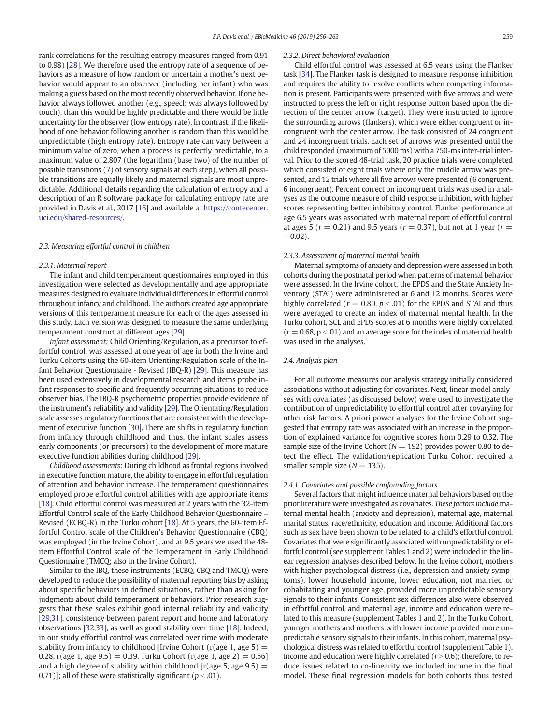rank correlations for the resulting entropy measures ranged from 0.91 to 0.98) [[28\]](#page-9-0). We therefore used the entropy rate of a sequence of behaviors as a measure of how random or uncertain a mother's next behavior would appear to an observer (including her infant) who was making a guess based on the most recently observed behavior. If one behavior always followed another (e.g., speech was always followed by touch), than this would be highly predictable and there would be little uncertainty for the observer (low entropy rate). In contrast, if the likelihood of one behavior following another is random than this would be unpredictable (high entropy rate). Entropy rate can vary between a minimum value of zero, when a process is perfectly predictable, to a maximum value of 2.807 (the logarithm (base two) of the number of possible transitions (7) of sensory signals at each step), when all possible transitions are equally likely and maternal signals are most unpredictable. Additional details regarding the calculation of entropy and a description of an R software package for calculating entropy rate are provided in Davis et al., 2017 [\[16](#page-9-0)] and available at [https://contecenter.](https://contecenter.uci.edu/shared-resources/) [uci.edu/shared-resources/](https://contecenter.uci.edu/shared-resources/).

#### 2.3. Measuring effortful control in children

#### 2.3.1. Maternal report

The infant and child temperament questionnaires employed in this investigation were selected as developmentally and age appropriate measures designed to evaluate individual differences in effortful control throughout infancy and childhood. The authors created age appropriate versions of this temperament measure for each of the ages assessed in this study. Each version was designed to measure the same underlying temperament construct at different ages [\[29](#page-9-0)].

Infant assessment: Child Orienting/Regulation, as a precursor to effortful control, was assessed at one year of age in both the Irvine and Turku Cohorts using the 60-item Orienting/Regulation scale of the Infant Behavior Questionnaire - Revised (IBQ-R) [[29\]](#page-9-0). This measure has been used extensively in developmental research and items probe infant responses to specific and frequently occurring situations to reduce observer bias. The IBQ-R psychometric properties provide evidence of the instrument's reliability and validity [[29\]](#page-9-0). The Orientating/Regulation scale assesses regulatory functions that are consistent with the development of executive function [\[30](#page-9-0)]. There are shifts in regulatory function from infancy through childhood and thus, the infant scales assess early components (or precursors) to the development of more mature executive function abilities during childhood [[29\]](#page-9-0).

Childhood assessments: During childhood as frontal regions involved in executive function mature, the ability to engage in effortful regulation of attention and behavior increase. The temperament questionnaires employed probe effortful control abilities with age appropriate items [\[18](#page-9-0)]. Child effortful control was measured at 2 years with the 32-item Effortful Control scale of the Early Childhood Behavior Questionnaire – Revised (ECBQ-R) in the Turku cohort [\[18](#page-9-0)]. At 5 years, the 60-item Effortful Control scale of the Children's Behavior Questionnaire (CBQ) was employed (in the Irvine Cohort), and at 9.5 years we used the 48 item Effortful Control scale of the Temperament in Early Childhood Questionnaire (TMCQ; also in the Irvine Cohort).

Similar to the IBQ, these instruments (ECBQ, CBQ and TMCQ) were developed to reduce the possibility of maternal reporting bias by asking about specific behaviors in defined situations, rather than asking for judgments about child temperament or behaviors. Prior research suggests that these scales exhibit good internal reliability and validity [\[29,31](#page-9-0)], consistency between parent report and home and laboratory observations [[32](#page-9-0),[33](#page-9-0)], as well as good stability over time [[18\]](#page-9-0). Indeed, in our study effortful control was correlated over time with moderate stability from infancy to childhood [Irvine Cohort  $(r(\text{age } 1, \text{age } 5))$  = 0.28, r(age 1, age 9.5) = 0.39, Turku Cohort (r(age 1, age 2) = 0.56] and a high degree of stability within childhood  $[r(\text{age } 5, \text{age } 9.5)$  = 0.71)]; all of these were statistically significant ( $p < .01$ ).

#### 2.3.2. Direct behavioral evaluation

Child effortful control was assessed at 6.5 years using the Flanker task [\[34](#page-9-0)]. The Flanker task is designed to measure response inhibition and requires the ability to resolve conflicts when competing information is present. Participants were presented with five arrows and were instructed to press the left or right response button based upon the direction of the center arrow (target). They were instructed to ignore the surrounding arrows (flankers), which were either congruent or incongruent with the center arrow. The task consisted of 24 congruent and 24 incongruent trials. Each set of arrows was presented until the child responded (maximum of 5000 ms) with a 750-ms inter-trial interval. Prior to the scored 48-trial task, 20 practice trials were completed which consisted of eight trials where only the middle arrow was presented, and 12 trials where all five arrows were presented (6 congruent, 6 incongruent). Percent correct on incongruent trials was used in analyses as the outcome measure of child response inhibition, with higher scores representing better inhibitory control. Flanker performance at age 6.5 years was associated with maternal report of effortful control at ages 5 ( $r = 0.21$ ) and 9.5 years ( $r = 0.37$ ), but not at 1 year ( $r =$  $-0.02$ ).

#### 2.3.3. Assessment of maternal mental health

Maternal symptoms of anxiety and depression were assessed in both cohorts during the postnatal period when patterns of maternal behavior were assessed. In the Irvine cohort, the EPDS and the State Anxiety Inventory (STAI) were administered at 6 and 12 months. Scores were highly correlated ( $r = 0.80$ ,  $p < .01$ ) for the EPDS and STAI and thus were averaged to create an index of maternal mental health. In the Turku cohort, SCL and EPDS scores at 6 months were highly correlated  $(r = 0.68, p < .01)$  and an average score for the index of maternal health was used in the analyses.

#### 2.4. Analysis plan

For all outcome measures our analysis strategy initially considered associations without adjusting for covariates. Next, linear model analyses with covariates (as discussed below) were used to investigate the contribution of unpredictability to effortful control after covarying for other risk factors. A priori power analyses for the Irvine Cohort suggested that entropy rate was associated with an increase in the proportion of explained variance for cognitive scores from 0.29 to 0.32. The sample size of the Irvine Cohort ( $N = 192$ ) provides power 0.80 to detect the effect. The validation/replication Turku Cohort required a smaller sample size  $(N = 135)$ .

#### 2.4.1. Covariates and possible confounding factors

Several factors that might influence maternal behaviors based on the prior literature were investigated as covariates. These factors include maternal mental health (anxiety and depression), maternal age, maternal marital status, race/ethnicity, education and income. Additional factors such as sex have been shown to be related to a child's effortful control. Covariates that were significantly associated with unpredictability or effortful control (see supplement Tables 1 and 2) were included in the linear regression analyses described below. In the Irvine cohort, mothers with higher psychological distress (i.e., depression and anxiety symptoms), lower household income, lower education, not married or cohabitating and younger age, provided more unpredictable sensory signals to their infants. Consistent sex differences also were observed in effortful control, and maternal age, income and education were related to this measure (supplement Tables 1 and 2). In the Turku Cohort, younger mothers and mothers with lower income provided more unpredictable sensory signals to their infants. In this cohort, maternal psychological distress was related to effortful control (supplement Table 1). Income and education were highly correlated  $(r > 0.6)$ ; therefore, to reduce issues related to co-linearity we included income in the final model. These final regression models for both cohorts thus tested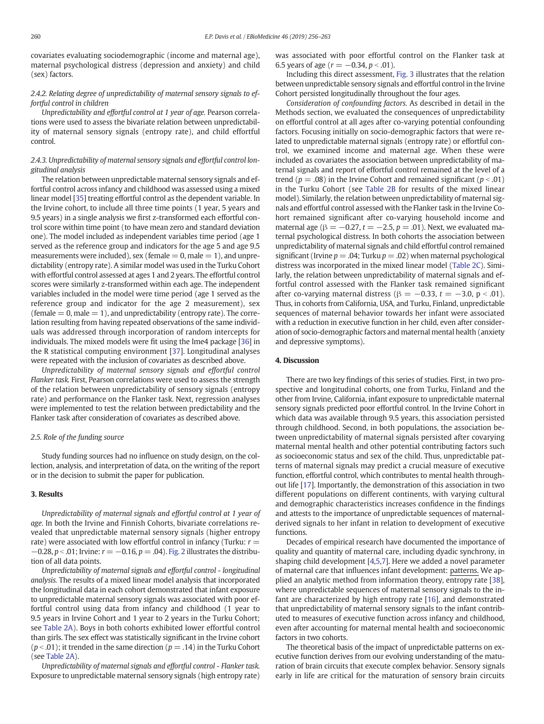covariates evaluating sociodemographic (income and maternal age), maternal psychological distress (depression and anxiety) and child (sex) factors.

#### 2.4.2. Relating degree of unpredictability of maternal sensory signals to effortful control in children

Unpredictability and effortful control at 1 year of age. Pearson correlations were used to assess the bivariate relation between unpredictability of maternal sensory signals (entropy rate), and child effortful control.

#### 2.4.3. Unpredictability of maternal sensory signals and effortful control longitudinal analysis

The relation between unpredictable maternal sensory signals and effortful control across infancy and childhood was assessed using a mixed linear model [[35\]](#page-9-0) treating effortful control as the dependent variable. In the Irvine cohort, to include all three time points (1 year, 5 years and 9.5 years) in a single analysis we first z-transformed each effortful control score within time point (to have mean zero and standard deviation one). The model included as independent variables time period (age 1 served as the reference group and indicators for the age 5 and age 9.5 measurements were included), sex (female  $= 0$ , male  $= 1$ ), and unpredictability (entropy rate). A similar model was used in the Turku Cohort with effortful control assessed at ages 1 and 2 years. The effortful control scores were similarly z-transformed within each age. The independent variables included in the model were time period (age 1 served as the reference group and indicator for the age 2 measurement), sex (female  $= 0$ , male  $= 1$ ), and unpredictability (entropy rate). The correlation resulting from having repeated observations of the same individuals was addressed through incorporation of random intercepts for individuals. The mixed models were fit using the lme4 package [[36\]](#page-9-0) in the R statistical computing environment [[37\]](#page-9-0). Longitudinal analyses were repeated with the inclusion of covariates as described above.

Unpredictability of maternal sensory signals and effortful control Flanker task. First, Pearson correlations were used to assess the strength of the relation between unpredictability of sensory signals (entropy rate) and performance on the Flanker task. Next, regression analyses were implemented to test the relation between predictability and the Flanker task after consideration of covariates as described above.

#### 2.5. Role of the funding source

Study funding sources had no influence on study design, on the collection, analysis, and interpretation of data, on the writing of the report or in the decision to submit the paper for publication.

#### 3. Results

Unpredictability of maternal signals and effortful control at 1 year of age. In both the Irvine and Finnish Cohorts, bivariate correlations revealed that unpredictable maternal sensory signals (higher entropy rate) were associated with low effortful control in infancy (Turku:  $r =$  $-0.28$ , p < .01; Irvine:  $r = -0.16$ , p = .04). [Fig. 2](#page-7-0) illustrates the distribution of all data points.

Unpredictability of maternal signals and effortful control - longitudinal analysis. The results of a mixed linear model analysis that incorporated the longitudinal data in each cohort demonstrated that infant exposure to unpredictable maternal sensory signals was associated with poor effortful control using data from infancy and childhood (1 year to 9.5 years in Irvine Cohort and 1 year to 2 years in the Turku Cohort; see [Table 2A\)](#page-7-0). Boys in both cohorts exhibited lower effortful control than girls. The sex effect was statistically significant in the Irvine cohort  $(p < .01)$ ; it trended in the same direction  $(p = .14)$  in the Turku Cohort (see [Table 2A](#page-7-0)).

Unpredictability of maternal signals and effortful control - Flanker task. Exposure to unpredictable maternal sensory signals (high entropy rate) was associated with poor effortful control on the Flanker task at 6.5 years of age ( $r = -0.34$ ,  $p < .01$ ).

Including this direct assessment, [Fig. 3](#page-8-0) illustrates that the relation between unpredictable sensory signals and effortful control in the Irvine Cohort persisted longitudinally throughout the four ages.

Consideration of confounding factors. As described in detail in the Methods section, we evaluated the consequences of unpredictability on effortful control at all ages after co-varying potential confounding factors. Focusing initially on socio-demographic factors that were related to unpredictable maternal signals (entropy rate) or effortful control, we examined income and maternal age. When these were included as covariates the association between unpredictability of maternal signals and report of effortful control remained at the level of a trend ( $p = .08$ ) in the Irvine Cohort and remained significant ( $p < .01$ ) in the Turku Cohort (see [Table 2B](#page-8-0) for results of the mixed linear model). Similarly, the relation between unpredictability of maternal signals and effortful control assessed with the Flanker task in the Irvine Cohort remained significant after co-varying household income and maternal age ( $\beta = -0.27$ ,  $t = -2.5$ ,  $p = .01$ ). Next, we evaluated maternal psychological distress. In both cohorts the association between unpredictability of maternal signals and child effortful control remained significant (Irvine  $p = .04$ ; Turku  $p = .02$ ) when maternal psychological distress was incorporated in the mixed linear model ([Table 2C](#page-8-0)). Similarly, the relation between unpredictability of maternal signals and effortful control assessed with the Flanker task remained significant after co-varying maternal distress ( $\beta = -0.33$ ,  $t = -3.0$ , p < .01). Thus, in cohorts from California, USA, and Turku, Finland, unpredictable sequences of maternal behavior towards her infant were associated with a reduction in executive function in her child, even after consideration of socio-demographic factors and maternal mental health (anxiety and depressive symptoms).

#### 4. Discussion

There are two key findings of this series of studies. First, in two prospective and longitudinal cohorts, one from Turku, Finland and the other from Irvine, California, infant exposure to unpredictable maternal sensory signals predicted poor effortful control. In the Irvine Cohort in which data was available through 9.5 years, this association persisted through childhood. Second, in both populations, the association between unpredictability of maternal signals persisted after covarying maternal mental health and other potential contributing factors such as socioeconomic status and sex of the child. Thus, unpredictable patterns of maternal signals may predict a crucial measure of executive function, effortful control, which contributes to mental health throughout life [[17\]](#page-9-0). Importantly, the demonstration of this association in two different populations on different continents, with varying cultural and demographic characteristics increases confidence in the findings and attests to the importance of unpredictable sequences of maternalderived signals to her infant in relation to development of executive functions.

Decades of empirical research have documented the importance of quality and quantity of maternal care, including dyadic synchrony, in shaping child development [\[4,5](#page-8-0),[7](#page-8-0)]. Here we added a novel parameter of maternal care that influences infant development: patterns. We applied an analytic method from information theory, entropy rate [[38](#page-9-0)], where unpredictable sequences of maternal sensory signals to the infant are characterized by high entropy rate [\[16](#page-9-0)], and demonstrated that unpredictability of maternal sensory signals to the infant contributed to measures of executive function across infancy and childhood, even after accounting for maternal mental health and socioeconomic factors in two cohorts.

The theoretical basis of the impact of unpredictable patterns on executive function derives from our evolving understanding of the maturation of brain circuits that execute complex behavior. Sensory signals early in life are critical for the maturation of sensory brain circuits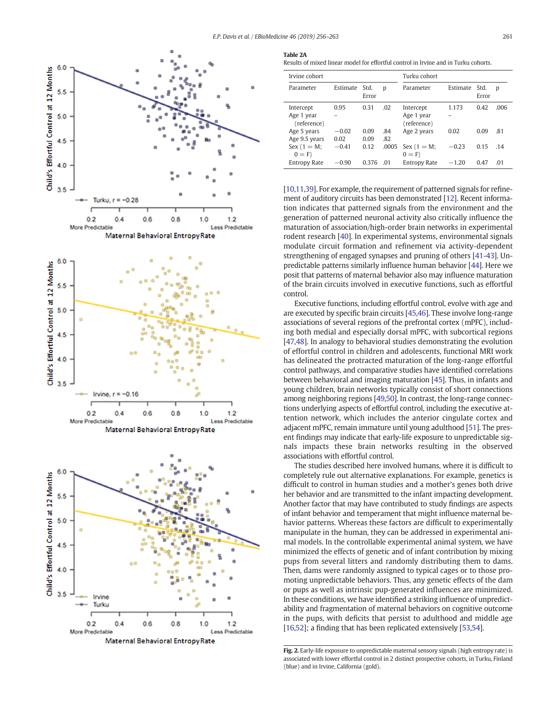<span id="page-7-0"></span>





Table 2A

Results of mixed linear model for effortful control in Irvine and in Turku cohorts.

| Irvine cohort              |          |               | Turku cohort |                           |          |               |      |
|----------------------------|----------|---------------|--------------|---------------------------|----------|---------------|------|
| Parameter                  | Estimate | Std.<br>Error | p            | Parameter                 | Estimate | Std.<br>Error | p    |
| Intercept                  | 0.95     | 0.31          | .02          | Intercept                 | 1.173    | 0.42          | .006 |
| Age 1 year<br>(reference)  |          |               |              | Age 1 year<br>(reference) |          |               |      |
| Age 5 years                | $-0.02$  | 0.09          | .84          | Age 2 years               | 0.02     | 0.09          | .81  |
| Age 9.5 years              | 0.02     | 0.09          | .82          |                           |          |               |      |
| Sex $(1 = M)$ ;<br>$0 = F$ | $-0.41$  | 0.12          | .0005        | $Sex (1 = M;$<br>$0 = F$  | $-0.23$  | 0.15          | .14  |
| <b>Entropy Rate</b>        | $-0.90$  | 0.376         | .01          | Entropy Rate              | $-1.20$  | 0.47          | .01  |

[\[10](#page-8-0),[11](#page-8-0)[,39](#page-9-0)]. For example, the requirement of patterned signals for refinement of auditory circuits has been demonstrated [[12](#page-8-0)]. Recent information indicates that patterned signals from the environment and the generation of patterned neuronal activity also critically influence the maturation of association/high-order brain networks in experimental rodent research [[40\]](#page-9-0). In experimental systems, environmental signals modulate circuit formation and refinement via activity-dependent strengthening of engaged synapses and pruning of others [\[41-43](#page-9-0)]. Unpredictable patterns similarly influence human behavior [[44\]](#page-9-0). Here we posit that patterns of maternal behavior also may influence maturation of the brain circuits involved in executive functions, such as effortful control.

Executive functions, including effortful control, evolve with age and are executed by specific brain circuits [[45,46](#page-9-0)]. These involve long-range associations of several regions of the prefrontal cortex (mPFC), including both medial and especially dorsal mPFC, with subcortical regions [\[47,48](#page-9-0)]. In analogy to behavioral studies demonstrating the evolution of effortful control in children and adolescents, functional MRI work has delineated the protracted maturation of the long-range effortful control pathways, and comparative studies have identified correlations between behavioral and imaging maturation [\[45](#page-9-0)]. Thus, in infants and young children, brain networks typically consist of short connections among neighboring regions [\[49](#page-9-0),[50\]](#page-9-0). In contrast, the long-range connections underlying aspects of effortful control, including the executive attention network, which includes the anterior cingulate cortex and adjacent mPFC, remain immature until young adulthood [\[51](#page-9-0)]. The present findings may indicate that early-life exposure to unpredictable signals impacts these brain networks resulting in the observed associations with effortful control.

The studies described here involved humans, where it is difficult to completely rule out alternative explanations. For example, genetics is difficult to control in human studies and a mother's genes both drive her behavior and are transmitted to the infant impacting development. Another factor that may have contributed to study findings are aspects of infant behavior and temperament that might influence maternal behavior patterns. Whereas these factors are difficult to experimentally manipulate in the human, they can be addressed in experimental animal models. In the controllable experimental animal system, we have minimized the effects of genetic and of infant contribution by mixing pups from several litters and randomly distributing them to dams. Then, dams were randomly assigned to typical cages or to those promoting unpredictable behaviors. Thus, any genetic effects of the dam or pups as well as intrinsic pup-generated influences are minimized. In these conditions, we have identified a striking influence of unpredictability and fragmentation of maternal behaviors on cognitive outcome in the pups, with deficits that persist to adulthood and middle age [\[16](#page-9-0),[52\]](#page-9-0); a finding that has been replicated extensively [\[53](#page-9-0),[54\]](#page-9-0).

Fig. 2. Early-life exposure to unpredictable maternal sensory signals (high entropy rate) is associated with lower effortful control in 2 distinct prospective cohorts, in Turku, Finland (blue) and in Irvine, California (gold).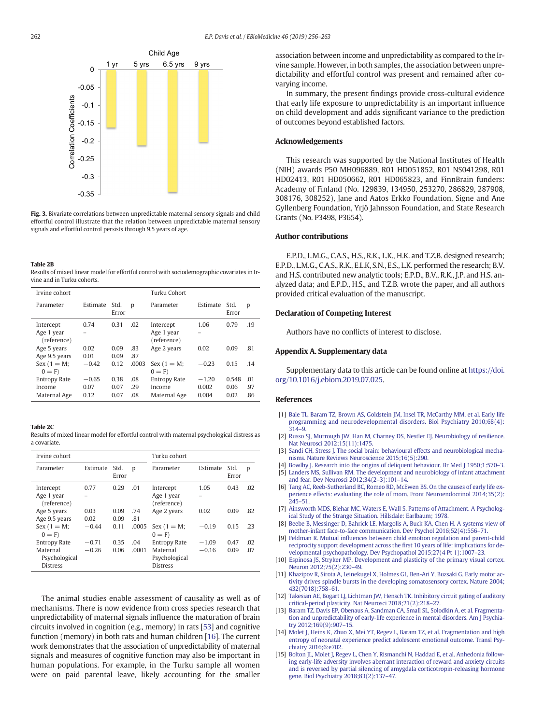<span id="page-8-0"></span>

Fig. 3. Bivariate correlations between unpredictable maternal sensory signals and child effortful control illustrate that the relation between unpredictable maternal sensory signals and effortful control persists through 9.5 years of age.

#### Table 2B

Results of mixed linear model for effortful control with sociodemographic covariates in Irvine and in Turku cohorts.

| Irvine cohort                                 |                         |                      |                   | Turku Cohort                           |                           |                       |                   |
|-----------------------------------------------|-------------------------|----------------------|-------------------|----------------------------------------|---------------------------|-----------------------|-------------------|
| Parameter                                     | Estimate                | Std.<br>Error        | p                 | Parameter                              | Estimate                  | Std.<br>Error         | p                 |
| Intercept<br>Age 1 year<br>(reference)        | 0.74                    | 0.31                 | .02               | Intercept<br>Age 1 year<br>(reference) | 1.06                      | 0.79                  | .19               |
| Age 5 years<br>Age 9.5 years                  | 0.02<br>0.01            | 0.09<br>0.09         | .83<br>.87        | Age 2 years                            | 0.02                      | 0.09                  | .81               |
| Sex $(1 = M)$<br>$0 = F$                      | $-0.42$                 | 0.12                 | .0003             | Sex $(1 = M)$<br>$0 = F$               | $-0.23$                   | 0.15                  | .14               |
| <b>Entropy Rate</b><br>Income<br>Maternal Age | $-0.65$<br>0.07<br>0.12 | 0.38<br>0.07<br>0.07 | .08<br>.29<br>.08 | Entropy Rate<br>Income<br>Maternal Age | $-1.20$<br>0.002<br>0.004 | 0.548<br>0.06<br>0.02 | .01<br>.97<br>.86 |

#### Table 2C

Results of mixed linear model for effortful control with maternal psychological distress as a covariate.

| Irvine cohort                                |              |               |            | Turku cohort                                 |          |               |     |
|----------------------------------------------|--------------|---------------|------------|----------------------------------------------|----------|---------------|-----|
| Parameter                                    | Estimate     | Std.<br>Error | D          | Parameter                                    | Estimate | Std.<br>Error | p   |
| Intercept<br>Age 1 year<br>(reference)       | 0.77         | 0.29          | .01        | Intercept<br>Age 1 year<br>(reference)       | 1.05     | 0.43          | .02 |
| Age 5 years<br>Age 9.5 years                 | 0.03<br>0.02 | 0.09<br>0.09  | .74<br>.81 | Age 2 years                                  | 0.02     | 0.09          | .82 |
| $Sex (1 = M;$<br>$0 = F$                     | $-0.44$      | 0.11          | .0005      | $Sex (1 = M;$<br>$0 = F$                     | $-0.19$  | 0.15          | .23 |
| <b>Entropy Rate</b>                          | $-0.71$      | 0.35          | .04        | Entropy Rate                                 | $-1.09$  | 0.47          | .02 |
| Maternal<br>Psychological<br><b>Distress</b> | $-0.26$      | 0.06          | .0001      | Maternal<br>Psychological<br><b>Distress</b> | $-0.16$  | 0.09          | .07 |

The animal studies enable assessment of causality as well as of mechanisms. There is now evidence from cross species research that unpredictability of maternal signals influence the maturation of brain circuits involved in cognition (e.g., memory) in rats [[53](#page-9-0)] and cognitive function (memory) in both rats and human children [\[16](#page-9-0)]. The current work demonstrates that the association of unpredictability of maternal signals and measures of cognitive function may also be important in human populations. For example, in the Turku sample all women were on paid parental leave, likely accounting for the smaller

association between income and unpredictability as compared to the Irvine sample. However, in both samples, the association between unpredictability and effortful control was present and remained after covarying income.

In summary, the present findings provide cross-cultural evidence that early life exposure to unpredictability is an important influence on child development and adds significant variance to the prediction of outcomes beyond established factors.

#### Acknowledgements

This research was supported by the National Institutes of Health (NIH) awards P50 MH096889, R01 HD051852, R01 NS041298, R01 HD02413, R01 HD050662, R01 HD065823, and FinnBrain funders: Academy of Finland (No. 129839, 134950, 253270, 286829, 287908, 308176, 308252), Jane and Aatos Erkko Foundation, Signe and Ane Gyllenberg Foundation, Yrjö Jahnsson Foundation, and State Research Grants (No. P3498, P3654).

#### Author contributions

E.P.D., L.M.G., C.A.S., H.S., R.K., L.K., H.K. and T.Z.B. designed research; E.P.D., L.M.G., C.A.S., R.K., E.L.K, S.N., E.S., L.K. performed the research; B.V. and H.S. contributed new analytic tools; E.P.D., B.V., R.K., J.P. and H.S. analyzed data; and E.P.D., H.S., and T.Z.B. wrote the paper, and all authors provided critical evaluation of the manuscript.

#### Declaration of Competing Interest

Authors have no conflicts of interest to disclose.

#### Appendix A. Supplementary data

Supplementary data to this article can be found online at [https://doi.](https://doi.org/10.1016/j.ebiom.2019.07.025) [org/10.1016/j.ebiom.2019.07.025](https://doi.org/10.1016/j.ebiom.2019.07.025).

#### References

- [1] [Bale TL, Baram TZ, Brown AS, Goldstein JM, Insel TR, McCarthy MM, et al. Early life](http://refhub.elsevier.com/S2352-3964(19)30460-8/rf0005) [programming and neurodevelopmental disorders. Biol Psychiatry 2010;68\(4\):](http://refhub.elsevier.com/S2352-3964(19)30460-8/rf0005) [314](http://refhub.elsevier.com/S2352-3964(19)30460-8/rf0005)–9.
- [2] [Russo SJ, Murrough JW, Han M, Charney DS, Nestler EJ. Neurobiology of resilience.](http://refhub.elsevier.com/S2352-3964(19)30460-8/rf0010) [Nat Neurosci 2012;15\(11\):1475.](http://refhub.elsevier.com/S2352-3964(19)30460-8/rf0010)
- [3] [Sandi CH, Stress J. The social brain: behavioural effects and neurobiological mecha](http://refhub.elsevier.com/S2352-3964(19)30460-8/rf0015)[nisms. Nature Reviews Neuroscience 2015;16\(5\):290.](http://refhub.elsevier.com/S2352-3964(19)30460-8/rf0015)
- [Bowlby J. Research into the origins of deliquent behaviour. Br Med J 1950;1:570](http://refhub.elsevier.com/S2352-3964(19)30460-8/rf0020)-3. [5] [Landers MS, Sullivan RM. The development and neurobiology of infant attachment](http://refhub.elsevier.com/S2352-3964(19)30460-8/rf0025) [and fear. Dev Neurosci 2012;34\(2](http://refhub.elsevier.com/S2352-3964(19)30460-8/rf0025)–3):101–14.
- [6] [Tang AC, Reeb-Sutherland BC, Romeo RD, McEwen BS. On the causes of early life ex](http://refhub.elsevier.com/S2352-3964(19)30460-8/rf0030)[perience effects: evaluating the role of mom. Front Neuroendocrinol 2014;35\(2\):](http://refhub.elsevier.com/S2352-3964(19)30460-8/rf0030) [245](http://refhub.elsevier.com/S2352-3964(19)30460-8/rf0030)–51.
- [7] [Ainsworth MDS, Blehar MC, Waters E, Wall S. Patterns of Attachment. A Psycholog](http://refhub.elsevier.com/S2352-3964(19)30460-8/rf0035)[ical Study of the Strange Situation. Hillsdale: Earlbaum; 1978.](http://refhub.elsevier.com/S2352-3964(19)30460-8/rf0035)
- [8] [Beebe B, Messinger D, Bahrick LE, Margolis A, Buck KA, Chen H. A systems view of](http://refhub.elsevier.com/S2352-3964(19)30460-8/rf0040) [mother-infant face-to-face communication. Dev Psychol 2016;52\(4\):556](http://refhub.elsevier.com/S2352-3964(19)30460-8/rf0040)–71.
- [9] Feldman R. Mutual infl[uences between child emotion regulation and parent-child](http://refhub.elsevier.com/S2352-3964(19)30460-8/rf0045) [reciprocity support development across the](http://refhub.elsevier.com/S2352-3964(19)30460-8/rf0045) first 10 years of life: implications for de[velopmental psychopathology. Dev Psychopathol 2015;27\(4 Pt 1\):1007](http://refhub.elsevier.com/S2352-3964(19)30460-8/rf0045)–23.
- [10] [Espinosa JS, Stryker MP. Development and plasticity of the primary visual cortex.](http://refhub.elsevier.com/S2352-3964(19)30460-8/rf0050) [Neuron 2012;75\(2\):230](http://refhub.elsevier.com/S2352-3964(19)30460-8/rf0050)–49.
- [11] [Khazipov R, Sirota A, Leinekugel X, Holmes GL, Ben-Ari Y, Buzsaki G. Early motor ac](http://refhub.elsevier.com/S2352-3964(19)30460-8/rf0055)[tivity drives spindle bursts in the developing somatosensory cortex. Nature 2004;](http://refhub.elsevier.com/S2352-3964(19)30460-8/rf0055) [432\(7018\):758](http://refhub.elsevier.com/S2352-3964(19)30460-8/rf0055)–61.
- [12] [Takesian AE, Bogart LJ, Lichtman JW, Hensch TK. Inhibitory circuit gating of auditory](http://refhub.elsevier.com/S2352-3964(19)30460-8/rf0060) [critical-period plasticity. Nat Neurosci 2018;21\(2\):218](http://refhub.elsevier.com/S2352-3964(19)30460-8/rf0060)–27.
- [13] [Baram TZ, Davis EP, Obenaus A, Sandman CA, Small SL, Solodkin A, et al. Fragmenta](http://refhub.elsevier.com/S2352-3964(19)30460-8/rf0065)[tion and unpredictability of early-life experience in mental disorders. Am J Psychia](http://refhub.elsevier.com/S2352-3964(19)30460-8/rf0065)[try 2012;169\(9\):907](http://refhub.elsevier.com/S2352-3964(19)30460-8/rf0065)–15.
- [14] [Molet J, Heins K, Zhuo X, Mei YT, Regev L, Baram TZ, et al. Fragmentation and high](http://refhub.elsevier.com/S2352-3964(19)30460-8/rf0070) [entropy of neonatal experience predict adolescent emotional outcome. Transl Psy](http://refhub.elsevier.com/S2352-3964(19)30460-8/rf0070)[chiatry 2016;6:e702.](http://refhub.elsevier.com/S2352-3964(19)30460-8/rf0070)
- [15] [Bolton JL, Molet J, Regev L, Chen Y, Rismanchi N, Haddad E, et al. Anhedonia follow](http://refhub.elsevier.com/S2352-3964(19)30460-8/rf0075)[ing early-life adversity involves aberrant interaction of reward and anxiety circuits](http://refhub.elsevier.com/S2352-3964(19)30460-8/rf0075) [and is reversed by partial silencing of amygdala corticotropin-releasing hormone](http://refhub.elsevier.com/S2352-3964(19)30460-8/rf0075) [gene. Biol Psychiatry 2018;83\(2\):137](http://refhub.elsevier.com/S2352-3964(19)30460-8/rf0075)–47.